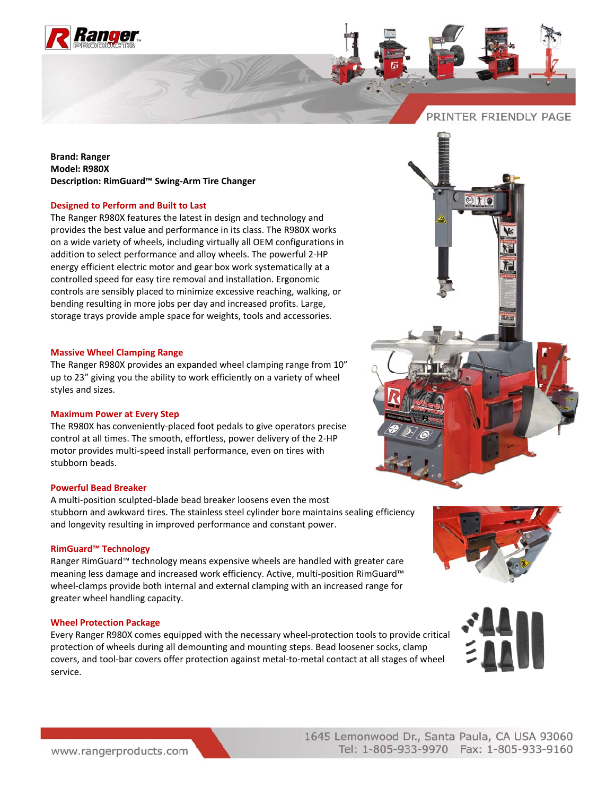

# PRINTER FRIENDLY PAGE

**Brand: Ranger Model: R980X Description: RimGuard™ Swing‐Arm Tire Changer**

## **Designed to Perform and Built to Last**

The Ranger R980X features the latest in design and technology and provides the best value and performance in its class. The R980X works on a wide variety of wheels, including virtually all OEM configurations in addition to select performance and alloy wheels. The powerful 2‐HP energy efficient electric motor and gear box work systematically at a controlled speed for easy tire removal and installation. Ergonomic controls are sensibly placed to minimize excessive reaching, walking, or bending resulting in more jobs per day and increased profits. Large, storage trays provide ample space for weights, tools and accessories.

#### **Massive Wheel Clamping Range**

The Ranger R980X provides an expanded wheel clamping range from 10" up to 23" giving you the ability to work efficiently on a variety of wheel styles and sizes.

## **Maximum Power at Every Step**

The R980X has conveniently‐placed foot pedals to give operators precise control at all times. The smooth, effortless, power delivery of the 2‐HP motor provides multi‐speed install performance, even on tires with stubborn beads.

## **Powerful Bead Breaker**

A multi‐position sculpted‐blade bead breaker loosens even the most stubborn and awkward tires. The stainless steel cylinder bore maintains sealing efficiency and longevity resulting in improved performance and constant power.

## **RimGuard™ Technology**

Ranger RimGuard™ technology means expensive wheels are handled with greater care meaning less damage and increased work efficiency. Active, multi‐position RimGuard™ wheel‐clamps provide both internal and external clamping with an increased range for greater wheel handling capacity.

#### **Wheel Protection Package**

Every Ranger R980X comes equipped with the necessary wheel‐protection tools to provide critical protection of wheels during all demounting and mounting steps. Bead loosener socks, clamp covers, and tool‐bar covers offer protection against metal‐to‐metal contact at all stages of wheel service.







1645 Lemonwood Dr., Santa Paula, CA USA 93060 Tel: 1-805-933-9970 Fax: 1-805-933-9160